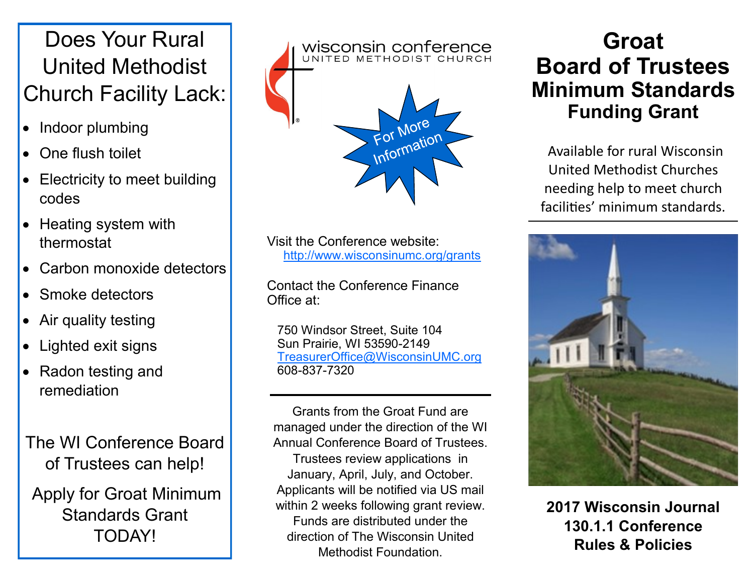# Does Your Rural United Methodist Church Facility Lack:

- Indoor plumbing
- One flush toilet
- **Electricity to meet building** codes
- Heating system with thermostat
- Carbon monoxide detectors
- Smoke detectors
- Air quality testing
- Lighted exit signs
- Radon testing and remediation

The WI Conference Board of Trustees can help!

Apply for Groat Minimum Standards Grant TODAY!



Visit the Conference website: http://www.wisconsinumc.org/grants

Contact the Conference Finance Office at:

 750 Windsor Street, Suite 104 Sun Prairie, WI 53590-2149 [TreasurerOffice@WisconsinUMC.org](mailto:TreasurerOffice@WisconsinUMC.org) 608-837-7320

Grants from the Groat Fund are managed under the direction of the WI Annual Conference Board of Trustees. Trustees review applications in January, April, July, and October. Applicants will be notified via US mail within 2 weeks following grant review. Funds are distributed under the direction of The Wisconsin United Methodist Foundation.

## **Groat Board of Trustees Minimum Standards Funding Grant**

Available for rural Wisconsin United Methodist Churches needing help to meet church facilities' minimum standards.



**2017 Wisconsin Journal 130.1.1 Conference Rules & Policies**